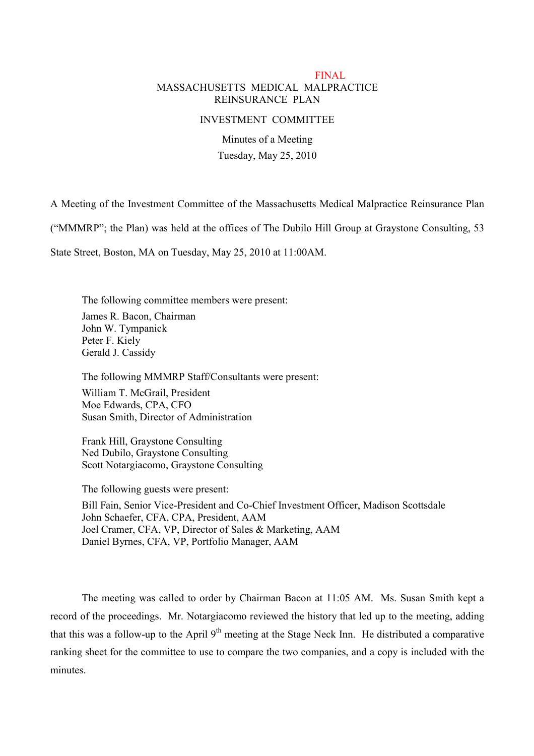## FINAL MASSACHUSETTS MEDICAL MALPRACTICE REINSURANCE PLAN

#### INVESTMENT COMMITTEE

Minutes of a Meeting Tuesday, May 25, 2010

A Meeting of the Investment Committee of the Massachusetts Medical Malpractice Reinsurance Plan

("MMMRP"; the Plan) was held at the offices of The Dubilo Hill Group at Graystone Consulting, 53

State Street, Boston, MA on Tuesday, May 25, 2010 at 11:00AM.

The following committee members were present: James R. Bacon, Chairman John W. Tympanick Peter F. Kiely Gerald J. Cassidy

The following MMMRP Staff/Consultants were present:

William T. McGrail, President Moe Edwards, CPA, CFO Susan Smith, Director of Administration

Frank Hill, Graystone Consulting Ned Dubilo, Graystone Consulting Scott Notargiacomo, Graystone Consulting

The following guests were present: Bill Fain, Senior Vice-President and Co-Chief Investment Officer, Madison Scottsdale John Schaefer, CFA, CPA, President, AAM Joel Cramer, CFA, VP, Director of Sales & Marketing, AAM Daniel Byrnes, CFA, VP, Portfolio Manager, AAM

The meeting was called to order by Chairman Bacon at 11:05 AM. Ms. Susan Smith kept a record of the proceedings. Mr. Notargiacomo reviewed the history that led up to the meeting, adding that this was a follow-up to the April 9<sup>th</sup> meeting at the Stage Neck Inn. He distributed a comparative ranking sheet for the committee to use to compare the two companies, and a copy is included with the minutes.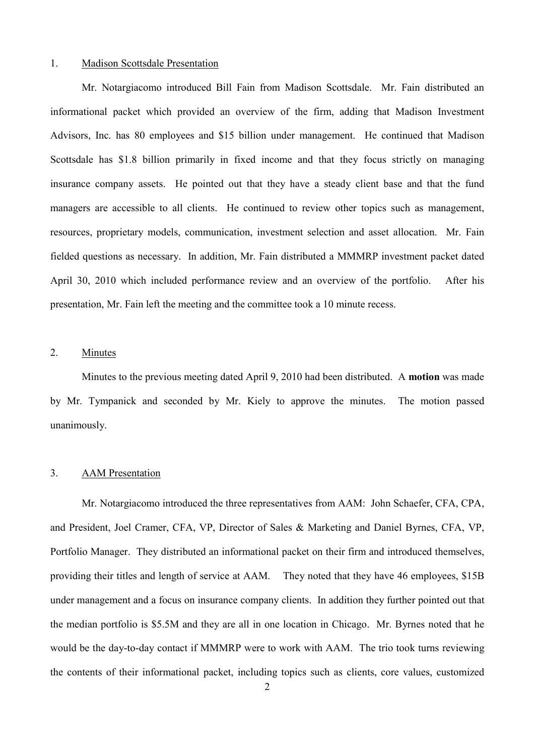#### 1. Madison Scottsdale Presentation

Mr. Notargiacomo introduced Bill Fain from Madison Scottsdale. Mr. Fain distributed an informational packet which provided an overview of the firm, adding that Madison Investment Advisors, Inc. has 80 employees and \$15 billion under management. He continued that Madison Scottsdale has \$1.8 billion primarily in fixed income and that they focus strictly on managing insurance company assets. He pointed out that they have a steady client base and that the fund managers are accessible to all clients. He continued to review other topics such as management, resources, proprietary models, communication, investment selection and asset allocation. Mr. Fain fielded questions as necessary. In addition, Mr. Fain distributed a MMMRP investment packet dated April 30, 2010 which included performance review and an overview of the portfolio. After his presentation, Mr. Fain left the meeting and the committee took a 10 minute recess.

## 2. Minutes

Minutes to the previous meeting dated April 9, 2010 had been distributed. A **motion** was made by Mr. Tympanick and seconded by Mr. Kiely to approve the minutes. The motion passed unanimously.

#### 3. AAM Presentation

Mr. Notargiacomo introduced the three representatives from AAM: John Schaefer, CFA, CPA, and President, Joel Cramer, CFA, VP, Director of Sales & Marketing and Daniel Byrnes, CFA, VP, Portfolio Manager. They distributed an informational packet on their firm and introduced themselves, providing their titles and length of service at AAM. They noted that they have 46 employees, \$15B under management and a focus on insurance company clients. In addition they further pointed out that the median portfolio is \$5.5M and they are all in one location in Chicago. Mr. Byrnes noted that he would be the day-to-day contact if MMMRP were to work with AAM. The trio took turns reviewing the contents of their informational packet, including topics such as clients, core values, customized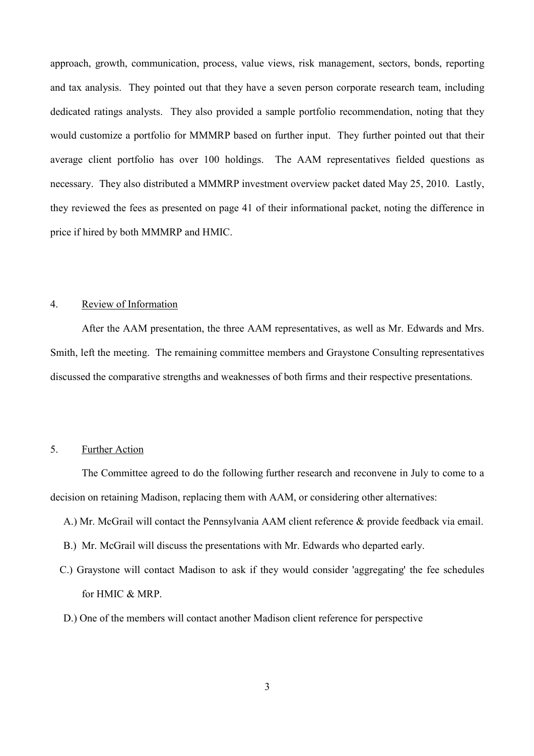approach, growth, communication, process, value views, risk management, sectors, bonds, reporting and tax analysis. They pointed out that they have a seven person corporate research team, including dedicated ratings analysts. They also provided a sample portfolio recommendation, noting that they would customize a portfolio for MMMRP based on further input. They further pointed out that their average client portfolio has over 100 holdings. The AAM representatives fielded questions as necessary. They also distributed a MMMRP investment overview packet dated May 25, 2010. Lastly, they reviewed the fees as presented on page 41 of their informational packet, noting the difference in price if hired by both MMMRP and HMIC.

### 4. Review of Information

After the AAM presentation, the three AAM representatives, as well as Mr. Edwards and Mrs. Smith, left the meeting. The remaining committee members and Graystone Consulting representatives discussed the comparative strengths and weaknesses of both firms and their respective presentations.

## 5. Further Action

The Committee agreed to do the following further research and reconvene in July to come to a decision on retaining Madison, replacing them with AAM, or considering other alternatives:

- A.) Mr. McGrail will contact the Pennsylvania AAM client reference & provide feedback via email.
- B.) Mr. McGrail will discuss the presentations with Mr. Edwards who departed early.
- C.) Graystone will contact Madison to ask if they would consider 'aggregating' the fee schedules for HMIC & MRP.
- D.) One of the members will contact another Madison client reference for perspective